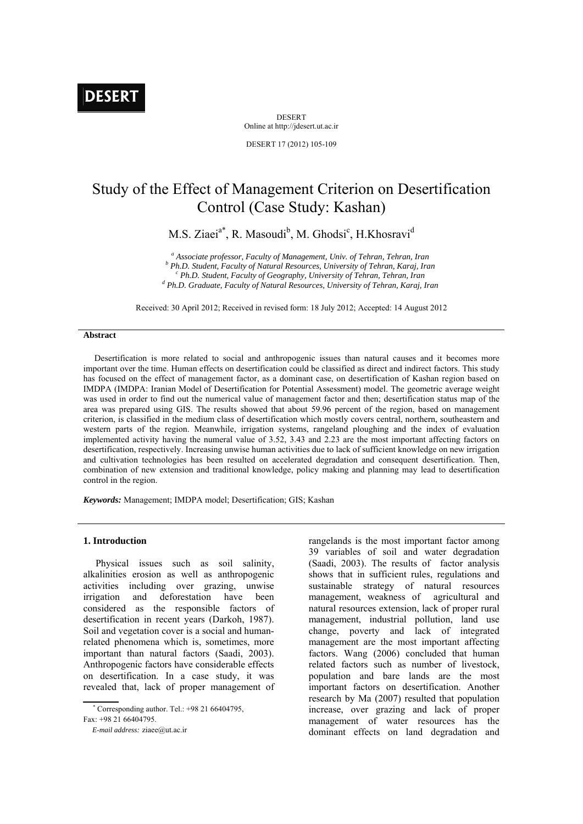# **DESERT**

DESERT Online at http://jdesert.ut.ac.ir

DESERT 17 (2012) 105-109

# Study of the Effect of Management Criterion on Desertification Control (Case Study: Kashan)

M.S. Ziaei<sup>a\*</sup>, R. Masoudi<sup>b</sup>, M. Ghodsi<sup>c</sup>, H.Khosravi<sup>d</sup>

<sup>a</sup> Associate professor, Faculty of Management, Univ. of Tehran, Tehran, Iran *b* D<sub>b</sub> D<sub>b</sub> D<sub>b</sub> C<sub>1</sub> (that Equilibries Mattural Becauses, University of Tehran, *Vanai*, Iran *Ph.D. Student, Faculty of Natural Resources, University of Tehran, Karaj, Iran* <sup>*Ph.D. Student, Faculty of Geography, University of Tehran, Tehran, Iran*</sup>  *Ph.D. Graduate, Faculty of Natural Resources, University of Tehran, Karaj, Iran* 

Received: 30 April 2012; Received in revised form: 18 July 2012; Accepted: 14 August 2012

#### **Abstract**

 Desertification is more related to social and anthropogenic issues than natural causes and it becomes more important over the time. Human effects on desertification could be classified as direct and indirect factors. This study has focused on the effect of management factor, as a dominant case, on desertification of Kashan region based on IMDPA (IMDPA: Iranian Model of Desertification for Potential Assessment) model. The geometric average weight was used in order to find out the numerical value of management factor and then; desertification status map of the area was prepared using GIS. The results showed that about 59.96 percent of the region, based on management criterion, is classified in the medium class of desertification which mostly covers central, northern, southeastern and western parts of the region. Meanwhile, irrigation systems, rangeland ploughing and the index of evaluation implemented activity having the numeral value of 3.52, 3.43 and 2.23 are the most important affecting factors on desertification, respectively. Increasing unwise human activities due to lack of sufficient knowledge on new irrigation and cultivation technologies has been resulted on accelerated degradation and consequent desertification. Then, combination of new extension and traditional knowledge, policy making and planning may lead to desertification control in the region.

*Keywords:* Management; IMDPA model; Desertification; GIS; Kashan

### **1. Introduction**

 Physical issues such as soil salinity, alkalinities erosion as well as anthropogenic activities including over grazing, unwise irrigation and deforestation have been considered as the responsible factors of desertification in recent years (Darkoh, 1987). Soil and vegetation cover is a social and humanrelated phenomena which is, sometimes, more important than natural factors (Saadi, 2003). Anthropogenic factors have considerable effects on desertification. In a case study, it was revealed that, lack of proper management of

 $\mathcal{L}_{\mathcal{A}}$  Corresponding author. Tel.: +98 21 66404795, Fax: +98 21 66404795.

 *E-mail address:* ziaee@ut.ac.ir

rangelands is the most important factor among 39 variables of soil and water degradation (Saadi, 2003). The results of factor analysis shows that in sufficient rules, regulations and sustainable strategy of natural resources management, weakness of agricultural and natural resources extension, lack of proper rural management, industrial pollution, land use change, poverty and lack of integrated management are the most important affecting factors. Wang (2006) concluded that human related factors such as number of livestock, population and bare lands are the most important factors on desertification. Another research by Ma (2007) resulted that population increase, over grazing and lack of proper management of water resources has the dominant effects on land degradation and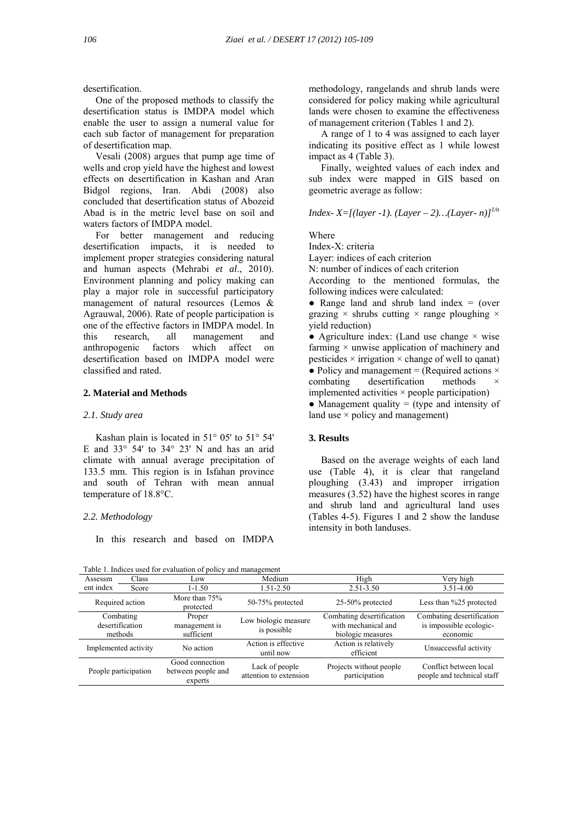desertification.

 One of the proposed methods to classify the desertification status is IMDPA model which enable the user to assign a numeral value for each sub factor of management for preparation of desertification map.

 Vesali (2008) argues that pump age time of wells and crop yield have the highest and lowest effects on desertification in Kashan and Aran Bidgol regions, Iran. Abdi (2008) also concluded that desertification status of Abozeid Abad is in the metric level base on soil and waters factors of IMDPA model.

 For better management and reducing desertification impacts, it is needed to implement proper strategies considering natural and human aspects (Mehrabi *et al*., 2010). Environment planning and policy making can play a major role in successful participatory management of natural resources (Lemos & Agrauwal, 2006). Rate of people participation is one of the effective factors in IMDPA model. In this research, all management and anthropogenic factors which affect on desertification based on IMDPA model were classified and rated.

# **2. Material and Methods**

#### *2.1. Study area*

 Kashan plain is located in 51° 05' to 51° 54' E and  $33^\circ$  54' to  $34^\circ$  23' N and has an arid climate with annual average precipitation of 133.5 mm. This region is in Isfahan province and south of Tehran with mean annual temperature of 18.8°C.

#### *2.2. Methodology*

In this research and based on IMDPA

 $T_{\rm eff}$  1. Indices used for evaluation of policy and management of policy and management of policy and management of policy and management of policy and management of policy and management of policy and management of pol

methodology, rangelands and shrub lands were considered for policy making while agricultural lands were chosen to examine the effectiveness of management criterion (Tables 1 and 2).

 A range of 1 to 4 was assigned to each layer indicating its positive effect as 1 while lowest impact as 4 (Table 3).

 Finally, weighted values of each index and sub index were mapped in GIS based on geometric average as follow:

*Index-X=[(layer -1). (Layer – 2)...(Layer-n)]*<sup> $1/n$ </sup>

**Where** 

Index-X: criteria Layer: indices of each criterion N: number of indices of each criterion According to the mentioned formulas, the

following indices were calculated:

• Range land and shrub land index  $=$  (over grazing  $\times$  shrubs cutting  $\times$  range ploughing  $\times$ yield reduction)

• Agriculture index: (Land use change  $\times$  wise farming  $\times$  unwise application of machinery and pesticides  $\times$  irrigation  $\times$  change of well to qanat) • Policy and management = (Required actions  $\times$ combating desertification methods  $implemented$  activities  $\times$  people participation) • Management quality  $=$  (type and intensity of land use  $\times$  policy and management)

# **3. Results**

 Based on the average weights of each land use (Table 4), it is clear that rangeland ploughing (3.43) and improper irrigation measures (3.52) have the highest scores in range and shrub land and agricultural land uses (Tables 4-5). Figures 1 and 2 show the landuse intensity in both landuses.

| l able 1. Indices used for evaluation of policy and management |                      |                                                  |                                          |                                                                       |                                                                  |
|----------------------------------------------------------------|----------------------|--------------------------------------------------|------------------------------------------|-----------------------------------------------------------------------|------------------------------------------------------------------|
| Assessm                                                        | Class                | Low                                              | Medium                                   | High                                                                  | Very high                                                        |
| ent index                                                      | Score                | 1-1.50                                           | $1.51 - 2.50$                            | $2.51 - 3.50$                                                         | $3.51 - 4.00$                                                    |
| Required action                                                |                      | More than $75%$<br>protected                     | 50-75% protected                         | $25-50\%$ protected                                                   | Less than %25 protected                                          |
| Combating<br>methods                                           | desertification      | Proper<br>management is<br>sufficient            | Low biologic measure<br>is possible      | Combating desertification<br>with mechanical and<br>biologic measures | Combating desertification<br>is impossible ecologic-<br>economic |
|                                                                | Implemented activity | No action                                        | Action is effective<br>until now         | Action is relatively<br>efficient                                     | Unsuccessful activity                                            |
|                                                                | People participation | Good connection<br>between people and<br>experts | Lack of people<br>attention to extension | Projects without people<br>participation                              | Conflict between local<br>people and technical staff             |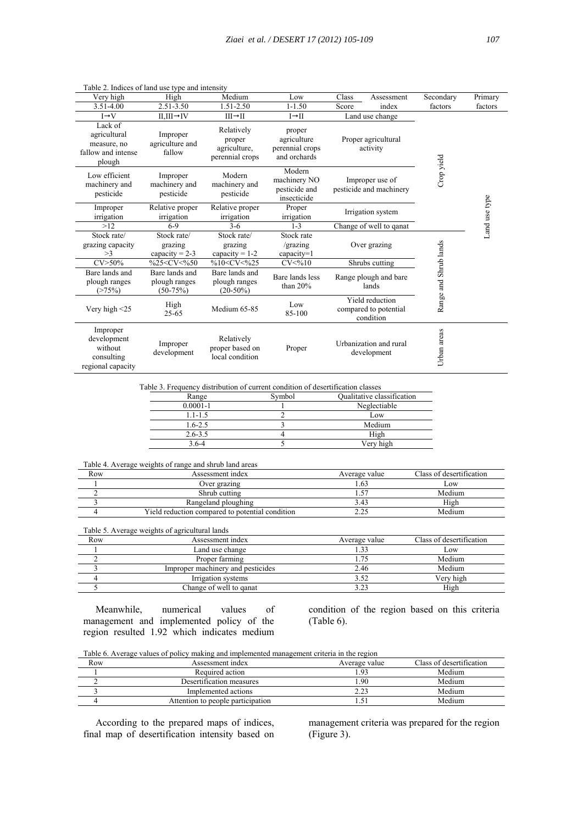| Very high                                                              | High                                                                                                                                      | Medium                                                                                               | Low                                                      | Class                           | Assessment                                            | Secondary             | Primary       |
|------------------------------------------------------------------------|-------------------------------------------------------------------------------------------------------------------------------------------|------------------------------------------------------------------------------------------------------|----------------------------------------------------------|---------------------------------|-------------------------------------------------------|-----------------------|---------------|
| 3.51-4.00                                                              | 2.51-3.50                                                                                                                                 | 1.51-2.50                                                                                            | $1 - 1.50$                                               | Score                           | index                                                 | factors               | factors       |
| $I \rightarrow V$                                                      | $II, III \rightarrow IV$                                                                                                                  | $III \rightarrow II$                                                                                 | $I \rightarrow II$                                       |                                 | Land use change                                       |                       |               |
| Lack of<br>agricultural<br>measure, no<br>fallow and intense<br>plough | Improper<br>agriculture and<br>fallow                                                                                                     | Relatively<br>proper<br>agriculture.<br>perennial crops                                              | proper<br>agriculture<br>perennial crops<br>and orchards | Proper agricultural<br>activity |                                                       |                       |               |
| Low efficient<br>machinery and<br>pesticide                            | Improper<br>machinery and<br>pesticide                                                                                                    | Modern<br>machinery and<br>pesticide                                                                 | Modern<br>machinery NO<br>pesticide and<br>insecticide   |                                 | Improper use of<br>pesticide and machinery            | Crop yield            |               |
| Improper<br>irrigation                                                 | Relative proper<br>irrigation                                                                                                             | Relative proper<br>irrigation                                                                        | Proper<br>irrigation                                     |                                 | Irrigation system                                     |                       | Land use type |
| >12                                                                    | $6-9$                                                                                                                                     | $3-6$                                                                                                | $1 - 3$                                                  |                                 | Change of well to qanat                               |                       |               |
| Stock rate/<br>grazing capacity<br>>3                                  | Stock rate/<br>grazing<br>capacity = $2-3$                                                                                                | Stock rate/<br>grazing<br>capacity = $1-2$                                                           | Stock rate<br>/grazing<br>$capacity=1$                   |                                 | Over grazing                                          |                       |               |
| $CV > 50\%$                                                            | %25 <cv<%50< td=""><td>%10<cv<%25< td=""><td>CV &lt; 9610</td><td></td><td>Shrubs cutting</td><td></td><td></td></cv<%25<></td></cv<%50<> | %10 <cv<%25< td=""><td>CV &lt; 9610</td><td></td><td>Shrubs cutting</td><td></td><td></td></cv<%25<> | CV < 9610                                                |                                 | Shrubs cutting                                        |                       |               |
| Bare lands and<br>plough ranges<br>(>75%)                              | Bare lands and<br>plough ranges<br>$(50-75%)$                                                                                             | Bare lands and<br>plough ranges<br>$(20-50\%)$                                                       | Bare lands less<br>than $20%$                            |                                 | Range plough and bare<br>lands                        | Range and Shrub lands |               |
| Very high $\leq$ 25                                                    | High<br>$25 - 65$                                                                                                                         | Medium 65-85                                                                                         | Low<br>85-100                                            |                                 | Yield reduction<br>compared to potential<br>condition |                       |               |
| Improper<br>development<br>without<br>consulting<br>regional capacity  | Improper<br>development                                                                                                                   | Relatively<br>proper based on<br>local condition                                                     | Proper                                                   |                                 | Urbanization and rural<br>development                 | Urban areas           |               |

Table 2. Indices of land use type and intensity

Table 3. Frequency distribution of current condition of desertification classes

| Range        | Svmbol | Qualitative classification |
|--------------|--------|----------------------------|
| $0.0001 - 1$ |        | Neglectiable               |
| 1.1-1.5      |        | Low                        |
| $1.6 - 2.5$  |        | Medium                     |
| $2.6 - 3.5$  |        | High                       |
| 3 6-4        |        | Verv high                  |

# Table 4. Average weights of range and shrub land areas

| Row | Assessment index                                | Average value | Class of desertification |
|-----|-------------------------------------------------|---------------|--------------------------|
|     | Over grazing                                    | .63           | LOW                      |
|     | Shrub cutting                                   |               | Medium                   |
|     | Rangeland ploughing                             | 3.43          | High                     |
|     | Yield reduction compared to potential condition |               | Medium                   |

Table 5. Average weights of agricultural lands

| Row | Assessment index                  | Average value | Class of desertification |
|-----|-----------------------------------|---------------|--------------------------|
|     | Land use change                   |               | Low                      |
|     | Proper farming                    |               | Medium                   |
|     | Improper machinery and pesticides | 2.46          | Medium                   |
|     | Irrigation systems                | 3.52          | Verv high                |
|     | Change of well to ganat           | 3.23          | High                     |

 Meanwhile, numerical values of management and implemented policy of the region resulted 1.92 which indicates medium condition of the region based on this criteria (Table 6).

Table 6. Average values of policy making and implemented management criteria in the region

| Row | Assessment index                  | Average value | Class of desertification |
|-----|-----------------------------------|---------------|--------------------------|
|     | Required action                   | .93           | Medium                   |
|     | Desertification measures          | .90           | Medium                   |
|     | Implemented actions               | າາ            | Medium                   |
|     | Attention to people participation |               | Medium                   |

 According to the prepared maps of indices, final map of desertification intensity based on management criteria was prepared for the region (Figure 3).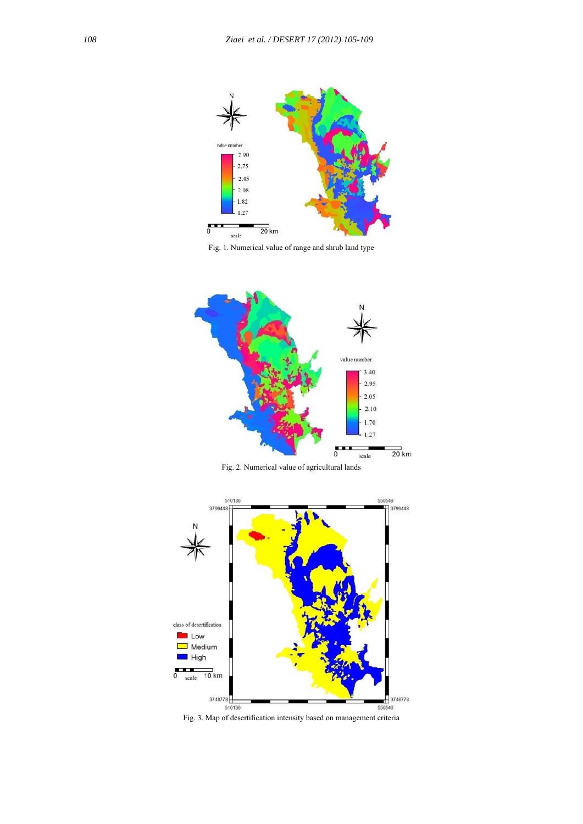

Fig. 1. Numerical value of range and shrub land type



Fig. 2. Numerical value of agricultural lands



Fig. 3. Map of desertification intensity based on management criteria